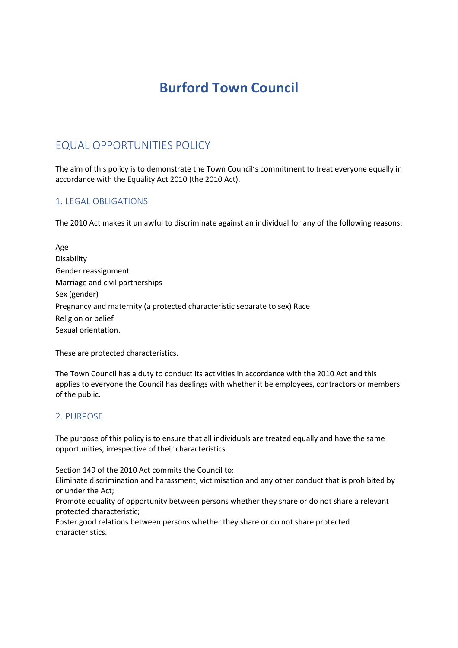# **Burford Town Council**

# EQUAL OPPORTUNITIES POLICY

The aim of this policy is to demonstrate the Town Council's commitment to treat everyone equally in accordance with the Equality Act 2010 (the 2010 Act).

### 1. LEGAL OBLIGATIONS

The 2010 Act makes it unlawful to discriminate against an individual for any of the following reasons:

Age Disability Gender reassignment Marriage and civil partnerships Sex (gender) Pregnancy and maternity (a protected characteristic separate to sex) Race Religion or belief Sexual orientation.

These are protected characteristics.

The Town Council has a duty to conduct its activities in accordance with the 2010 Act and this applies to everyone the Council has dealings with whether it be employees, contractors or members of the public.

#### 2. PURPOSE

The purpose of this policy is to ensure that all individuals are treated equally and have the same opportunities, irrespective of their characteristics.

Section 149 of the 2010 Act commits the Council to:

Eliminate discrimination and harassment, victimisation and any other conduct that is prohibited by or under the Act;

Promote equality of opportunity between persons whether they share or do not share a relevant protected characteristic;

Foster good relations between persons whether they share or do not share protected characteristics.